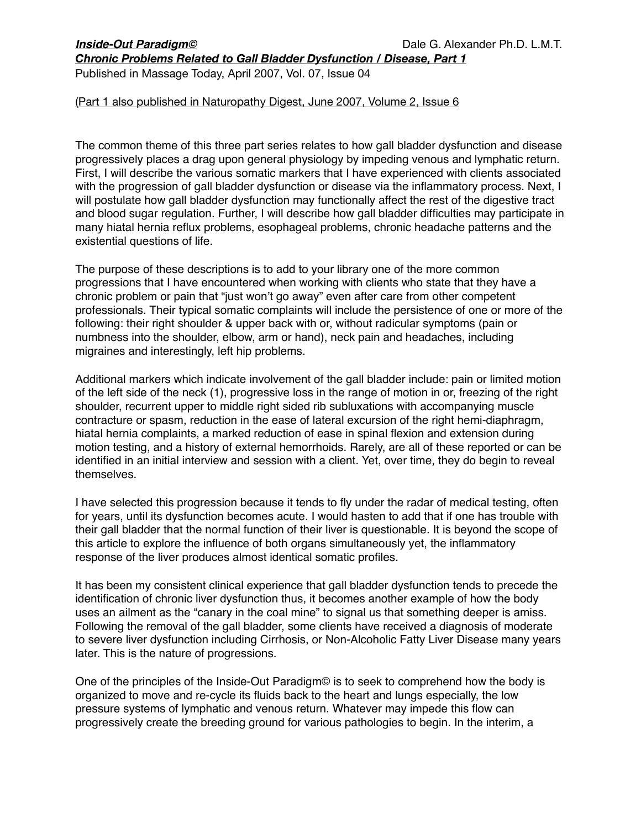*Chronic Problems Related to Gall Bladder Dysfunction / Disease, Part 1*

Published in Massage Today, April 2007, Vol. 07, Issue 04

## (Part 1 also published in Naturopathy Digest, June 2007, Volume 2, Issue 6

The common theme of this three part series relates to how gall bladder dysfunction and disease progressively places a drag upon general physiology by impeding venous and lymphatic return. First, I will describe the various somatic markers that I have experienced with clients associated with the progression of gall bladder dysfunction or disease via the inflammatory process. Next, I will postulate how gall bladder dysfunction may functionally affect the rest of the digestive tract and blood sugar regulation. Further, I will describe how gall bladder difficulties may participate in many hiatal hernia reflux problems, esophageal problems, chronic headache patterns and the existential questions of life.

The purpose of these descriptions is to add to your library one of the more common progressions that I have encountered when working with clients who state that they have a chronic problem or pain that "just won't go away" even after care from other competent professionals. Their typical somatic complaints will include the persistence of one or more of the following: their right shoulder & upper back with or, without radicular symptoms (pain or numbness into the shoulder, elbow, arm or hand), neck pain and headaches, including migraines and interestingly, left hip problems.

Additional markers which indicate involvement of the gall bladder include: pain or limited motion of the left side of the neck (1), progressive loss in the range of motion in or, freezing of the right shoulder, recurrent upper to middle right sided rib subluxations with accompanying muscle contracture or spasm, reduction in the ease of lateral excursion of the right hemi-diaphragm, hiatal hernia complaints, a marked reduction of ease in spinal flexion and extension during motion testing, and a history of external hemorrhoids. Rarely, are all of these reported or can be identified in an initial interview and session with a client. Yet, over time, they do begin to reveal themselves.

I have selected this progression because it tends to fly under the radar of medical testing, often for years, until its dysfunction becomes acute. I would hasten to add that if one has trouble with their gall bladder that the normal function of their liver is questionable. It is beyond the scope of this article to explore the influence of both organs simultaneously yet, the inflammatory response of the liver produces almost identical somatic profiles.

It has been my consistent clinical experience that gall bladder dysfunction tends to precede the identification of chronic liver dysfunction thus, it becomes another example of how the body uses an ailment as the "canary in the coal mine" to signal us that something deeper is amiss. Following the removal of the gall bladder, some clients have received a diagnosis of moderate to severe liver dysfunction including Cirrhosis, or Non-Alcoholic Fatty Liver Disease many years later. This is the nature of progressions.

One of the principles of the Inside-Out Paradigm© is to seek to comprehend how the body is organized to move and re-cycle its fluids back to the heart and lungs especially, the low pressure systems of lymphatic and venous return. Whatever may impede this flow can progressively create the breeding ground for various pathologies to begin. In the interim, a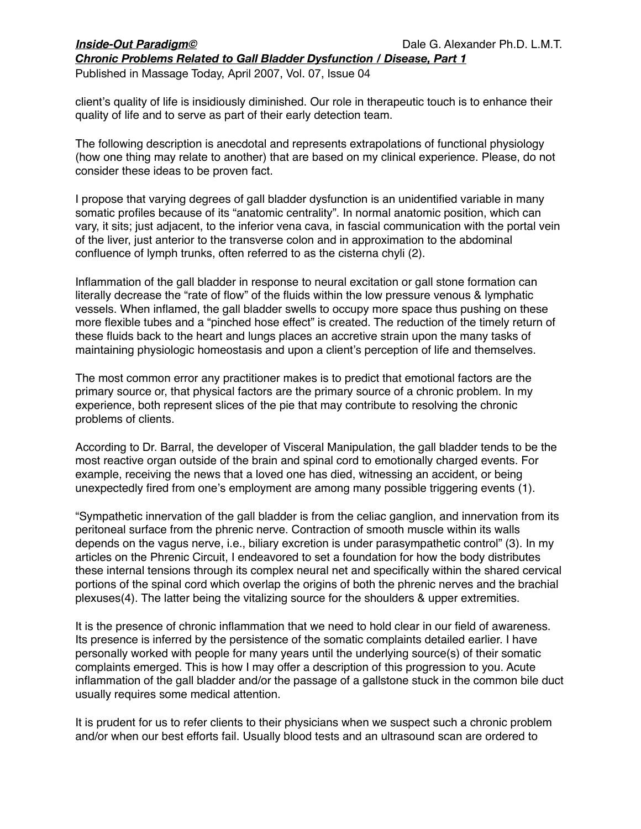*Chronic Problems Related to Gall Bladder Dysfunction / Disease, Part 1*

Published in Massage Today, April 2007, Vol. 07, Issue 04

client's quality of life is insidiously diminished. Our role in therapeutic touch is to enhance their quality of life and to serve as part of their early detection team.

The following description is anecdotal and represents extrapolations of functional physiology (how one thing may relate to another) that are based on my clinical experience. Please, do not consider these ideas to be proven fact.

I propose that varying degrees of gall bladder dysfunction is an unidentified variable in many somatic profiles because of its "anatomic centrality". In normal anatomic position, which can vary, it sits; just adjacent, to the inferior vena cava, in fascial communication with the portal vein of the liver, just anterior to the transverse colon and in approximation to the abdominal confluence of lymph trunks, often referred to as the cisterna chyli (2).

Inflammation of the gall bladder in response to neural excitation or gall stone formation can literally decrease the "rate of flow" of the fluids within the low pressure venous & lymphatic vessels. When inflamed, the gall bladder swells to occupy more space thus pushing on these more flexible tubes and a "pinched hose effect" is created. The reduction of the timely return of these fluids back to the heart and lungs places an accretive strain upon the many tasks of maintaining physiologic homeostasis and upon a client's perception of life and themselves.

The most common error any practitioner makes is to predict that emotional factors are the primary source or, that physical factors are the primary source of a chronic problem. In my experience, both represent slices of the pie that may contribute to resolving the chronic problems of clients.

According to Dr. Barral, the developer of Visceral Manipulation, the gall bladder tends to be the most reactive organ outside of the brain and spinal cord to emotionally charged events. For example, receiving the news that a loved one has died, witnessing an accident, or being unexpectedly fired from one's employment are among many possible triggering events (1).

"Sympathetic innervation of the gall bladder is from the celiac ganglion, and innervation from its peritoneal surface from the phrenic nerve. Contraction of smooth muscle within its walls depends on the vagus nerve, i.e., biliary excretion is under parasympathetic control" (3). In my articles on the Phrenic Circuit, I endeavored to set a foundation for how the body distributes these internal tensions through its complex neural net and specifically within the shared cervical portions of the spinal cord which overlap the origins of both the phrenic nerves and the brachial plexuses(4). The latter being the vitalizing source for the shoulders & upper extremities.

It is the presence of chronic inflammation that we need to hold clear in our field of awareness. Its presence is inferred by the persistence of the somatic complaints detailed earlier. I have personally worked with people for many years until the underlying source(s) of their somatic complaints emerged. This is how I may offer a description of this progression to you. Acute inflammation of the gall bladder and/or the passage of a gallstone stuck in the common bile duct usually requires some medical attention.

It is prudent for us to refer clients to their physicians when we suspect such a chronic problem and/or when our best efforts fail. Usually blood tests and an ultrasound scan are ordered to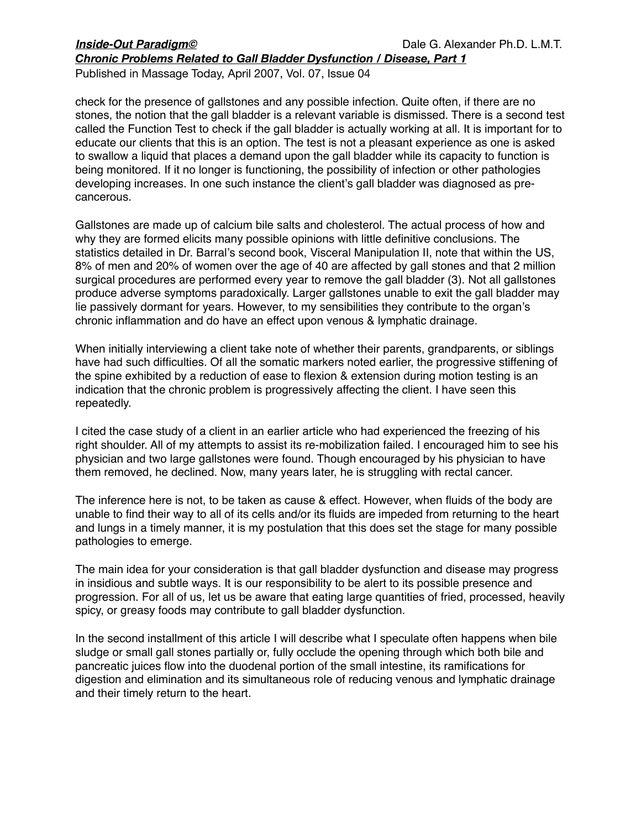*Chronic Problems Related to Gall Bladder Dysfunction / Disease, Part 1*

Published in Massage Today, April 2007, Vol. 07, Issue 04

check for the presence of gallstones and any possible infection. Quite often, if there are no stones, the notion that the gall bladder is a relevant variable is dismissed. There is a second test called the Function Test to check if the gall bladder is actually working at all. It is important for to educate our clients that this is an option. The test is not a pleasant experience as one is asked to swallow a liquid that places a demand upon the gall bladder while its capacity to function is being monitored. If it no longer is functioning, the possibility of infection or other pathologies developing increases. In one such instance the client's gall bladder was diagnosed as precancerous.

Gallstones are made up of calcium bile salts and cholesterol. The actual process of how and why they are formed elicits many possible opinions with little definitive conclusions. The statistics detailed in Dr. Barral's second book, Visceral Manipulation II, note that within the US, 8% of men and 20% of women over the age of 40 are affected by gall stones and that 2 million surgical procedures are performed every year to remove the gall bladder (3). Not all gallstones produce adverse symptoms paradoxically. Larger gallstones unable to exit the gall bladder may lie passively dormant for years. However, to my sensibilities they contribute to the organ's chronic inflammation and do have an effect upon venous & lymphatic drainage.

When initially interviewing a client take note of whether their parents, grandparents, or siblings have had such difficulties. Of all the somatic markers noted earlier, the progressive stiffening of the spine exhibited by a reduction of ease to flexion & extension during motion testing is an indication that the chronic problem is progressively affecting the client. I have seen this repeatedly.

I cited the case study of a client in an earlier article who had experienced the freezing of his right shoulder. All of my attempts to assist its re-mobilization failed. I encouraged him to see his physician and two large gallstones were found. Though encouraged by his physician to have them removed, he declined. Now, many years later, he is struggling with rectal cancer.

The inference here is not, to be taken as cause & effect. However, when fluids of the body are unable to find their way to all of its cells and/or its fluids are impeded from returning to the heart and lungs in a timely manner, it is my postulation that this does set the stage for many possible pathologies to emerge.

The main idea for your consideration is that gall bladder dysfunction and disease may progress in insidious and subtle ways. It is our responsibility to be alert to its possible presence and progression. For all of us, let us be aware that eating large quantities of fried, processed, heavily spicy, or greasy foods may contribute to gall bladder dysfunction.

In the second installment of this article I will describe what I speculate often happens when bile sludge or small gall stones partially or, fully occlude the opening through which both bile and pancreatic juices flow into the duodenal portion of the small intestine, its ramifications for digestion and elimination and its simultaneous role of reducing venous and lymphatic drainage and their timely return to the heart.